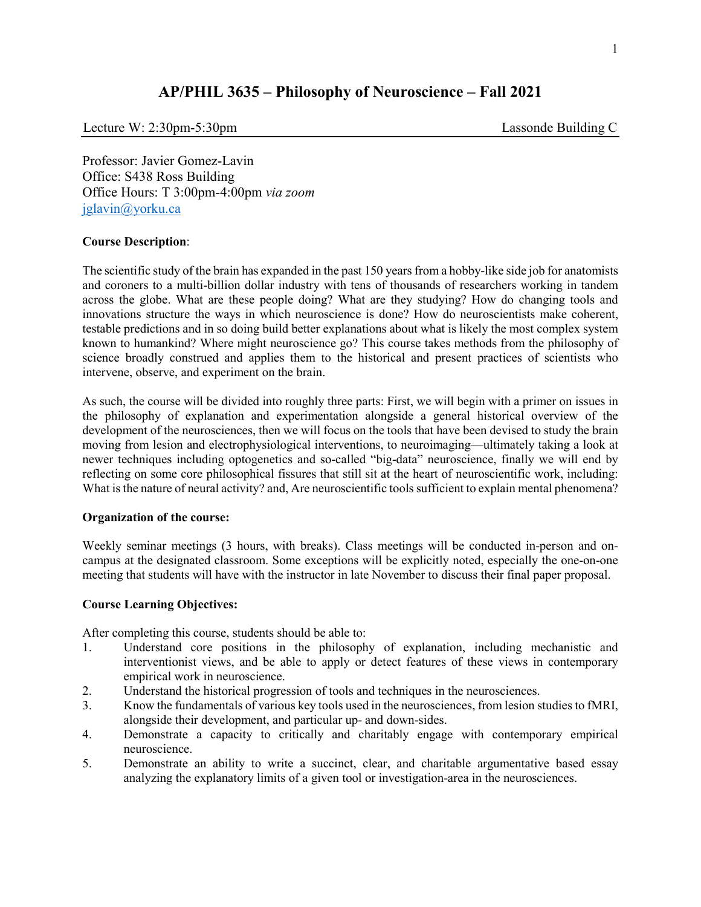# **AP/PHIL 3635 – Philosophy of Neuroscience – Fall 2021**

Lecture W: 2:30pm-5:30pm Lassonde Building C

Professor: Javier Gomez-Lavin Office: S438 Ross Building Office Hours: T 3:00pm-4:00pm *via zoom*  [jglavin@yorku.ca](mailto:jglavin@yorku.ca)

#### **Course Description**:

The scientific study of the brain has expanded in the past 150 years from a hobby-like side job for anatomists and coroners to a multi-billion dollar industry with tens of thousands of researchers working in tandem across the globe. What are these people doing? What are they studying? How do changing tools and innovations structure the ways in which neuroscience is done? How do neuroscientists make coherent, testable predictions and in so doing build better explanations about what is likely the most complex system known to humankind? Where might neuroscience go? This course takes methods from the philosophy of science broadly construed and applies them to the historical and present practices of scientists who intervene, observe, and experiment on the brain.

As such, the course will be divided into roughly three parts: First, we will begin with a primer on issues in the philosophy of explanation and experimentation alongside a general historical overview of the development of the neurosciences, then we will focus on the tools that have been devised to study the brain moving from lesion and electrophysiological interventions, to neuroimaging—ultimately taking a look at newer techniques including optogenetics and so-called "big-data" neuroscience, finally we will end by reflecting on some core philosophical fissures that still sit at the heart of neuroscientific work, including: What is the nature of neural activity? and, Are neuroscientific tools sufficient to explain mental phenomena?

#### **Organization of the course:**

Weekly seminar meetings (3 hours, with breaks). Class meetings will be conducted in-person and oncampus at the designated classroom. Some exceptions will be explicitly noted, especially the one-on-one meeting that students will have with the instructor in late November to discuss their final paper proposal.

## **Course Learning Objectives:**

After completing this course, students should be able to:

- 1. Understand core positions in the philosophy of explanation, including mechanistic and interventionist views, and be able to apply or detect features of these views in contemporary empirical work in neuroscience.
- 2. Understand the historical progression of tools and techniques in the neurosciences.
- 3. Know the fundamentals of various key tools used in the neurosciences, from lesion studies to fMRI, alongside their development, and particular up- and down-sides.
- 4. Demonstrate a capacity to critically and charitably engage with contemporary empirical neuroscience.
- 5. Demonstrate an ability to write a succinct, clear, and charitable argumentative based essay analyzing the explanatory limits of a given tool or investigation-area in the neurosciences.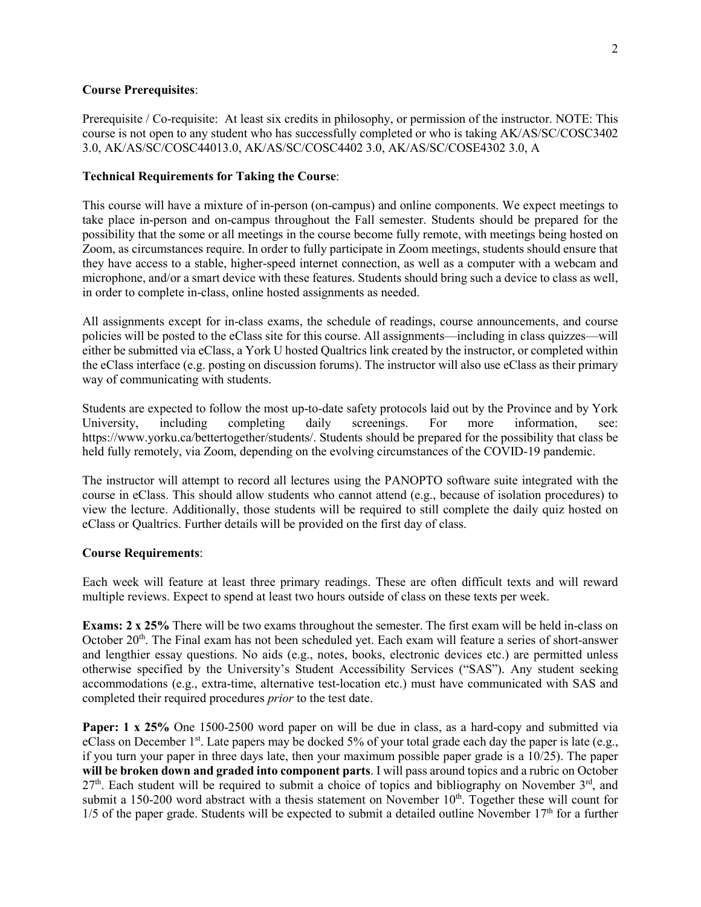#### **Course Prerequisites**:

Prerequisite / Co-requisite: At least six credits in philosophy, or permission of the instructor. NOTE: This course is not open to any student who has successfully completed or who is taking AK/AS/SC/COSC3402 3.0, AK/AS/SC/COSC44013.0, AK/AS/SC/COSC4402 3.0, AK/AS/SC/COSE4302 3.0, A

#### **Technical Requirements for Taking the Course**:

This course will have a mixture of in-person (on-campus) and online components. We expect meetings to take place in-person and on-campus throughout the Fall semester. Students should be prepared for the possibility that the some or all meetings in the course become fully remote, with meetings being hosted on Zoom, as circumstances require. In order to fully participate in Zoom meetings, students should ensure that they have access to a stable, higher-speed internet connection, as well as a computer with a webcam and microphone, and/or a smart device with these features. Students should bring such a device to class as well, in order to complete in-class, online hosted assignments as needed.

All assignments except for in-class exams, the schedule of readings, course announcements, and course policies will be posted to the eClass site for this course. All assignments—including in class quizzes—will either be submitted via eClass, a York U hosted Qualtrics link created by the instructor, or completed within the eClass interface (e.g. posting on discussion forums). The instructor will also use eClass as their primary way of communicating with students.

Students are expected to follow the most up-to-date safety protocols laid out by the Province and by York University, including completing daily screenings. For more information, see: https://www.yorku.ca/bettertogether/students/. Students should be prepared for the possibility that class be held fully remotely, via Zoom, depending on the evolving circumstances of the COVID-19 pandemic.

The instructor will attempt to record all lectures using the PANOPTO software suite integrated with the course in eClass. This should allow students who cannot attend (e.g., because of isolation procedures) to view the lecture. Additionally, those students will be required to still complete the daily quiz hosted on eClass or Qualtrics. Further details will be provided on the first day of class.

#### **Course Requirements**:

Each week will feature at least three primary readings. These are often difficult texts and will reward multiple reviews. Expect to spend at least two hours outside of class on these texts per week.

**Exams: 2 x 25%** There will be two exams throughout the semester. The first exam will be held in-class on October 20<sup>th</sup>. The Final exam has not been scheduled yet. Each exam will feature a series of short-answer and lengthier essay questions. No aids (e.g., notes, books, electronic devices etc.) are permitted unless otherwise specified by the University's Student Accessibility Services ("SAS"). Any student seeking accommodations (e.g., extra-time, alternative test-location etc.) must have communicated with SAS and completed their required procedures *prior* to the test date.

**Paper: 1 x 25%** One 1500-2500 word paper on will be due in class, as a hard-copy and submitted via eClass on December 1<sup>st</sup>. Late papers may be docked 5% of your total grade each day the paper is late (e.g., if you turn your paper in three days late, then your maximum possible paper grade is a 10/25). The paper **will be broken down and graded into component parts**. I will pass around topics and a rubric on October  $27<sup>th</sup>$ . Each student will be required to submit a choice of topics and bibliography on November  $3<sup>rd</sup>$ , and submit a 150-200 word abstract with a thesis statement on November  $10<sup>th</sup>$ . Together these will count for  $1/5$  of the paper grade. Students will be expected to submit a detailed outline November  $17<sup>th</sup>$  for a further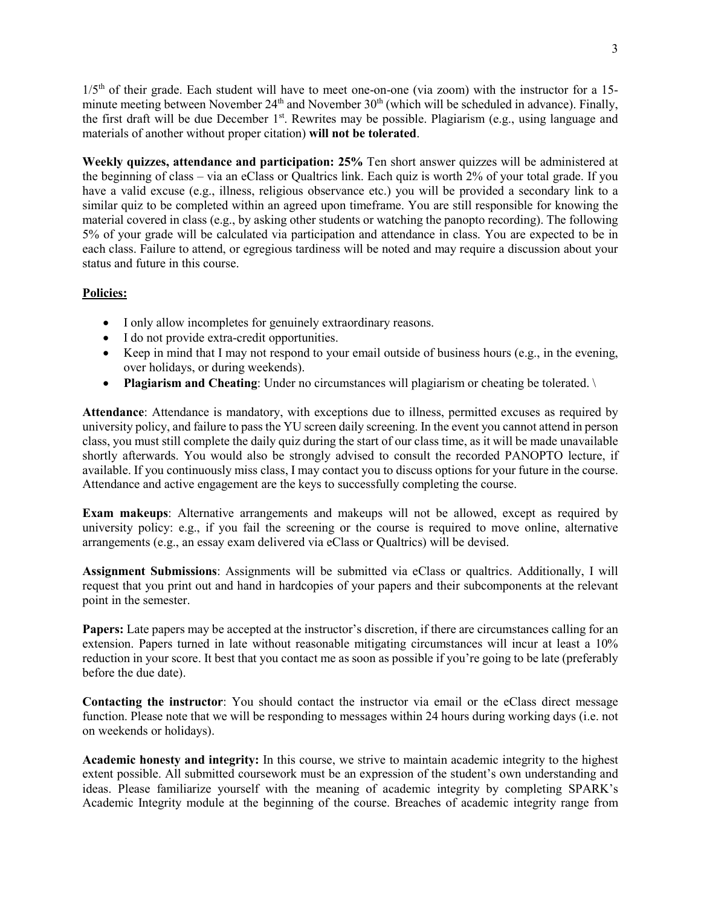1/5<sup>th</sup> of their grade. Each student will have to meet one-on-one (via zoom) with the instructor for a 15minute meeting between November 24<sup>th</sup> and November 30<sup>th</sup> (which will be scheduled in advance). Finally, the first draft will be due December  $1<sup>st</sup>$ . Rewrites may be possible. Plagiarism (e.g., using language and materials of another without proper citation) **will not be tolerated**.

**Weekly quizzes, attendance and participation: 25%** Ten short answer quizzes will be administered at the beginning of class – via an eClass or Qualtrics link. Each quiz is worth 2% of your total grade. If you have a valid excuse (e.g., illness, religious observance etc.) you will be provided a secondary link to a similar quiz to be completed within an agreed upon timeframe. You are still responsible for knowing the material covered in class (e.g., by asking other students or watching the panopto recording). The following 5% of your grade will be calculated via participation and attendance in class. You are expected to be in each class. Failure to attend, or egregious tardiness will be noted and may require a discussion about your status and future in this course.

## **Policies:**

- I only allow incompletes for genuinely extraordinary reasons.
- I do not provide extra-credit opportunities.
- Keep in mind that I may not respond to your email outside of business hours (e.g., in the evening, over holidays, or during weekends).
- **Plagiarism and Cheating**: Under no circumstances will plagiarism or cheating be tolerated.

**Attendance**: Attendance is mandatory, with exceptions due to illness, permitted excuses as required by university policy, and failure to pass the YU screen daily screening. In the event you cannot attend in person class, you must still complete the daily quiz during the start of our class time, as it will be made unavailable shortly afterwards. You would also be strongly advised to consult the recorded PANOPTO lecture, if available. If you continuously miss class, I may contact you to discuss options for your future in the course. Attendance and active engagement are the keys to successfully completing the course.

**Exam makeups**: Alternative arrangements and makeups will not be allowed, except as required by university policy: e.g., if you fail the screening or the course is required to move online, alternative arrangements (e.g., an essay exam delivered via eClass or Qualtrics) will be devised.

**Assignment Submissions**: Assignments will be submitted via eClass or qualtrics. Additionally, I will request that you print out and hand in hardcopies of your papers and their subcomponents at the relevant point in the semester.

**Papers:** Late papers may be accepted at the instructor's discretion, if there are circumstances calling for an extension. Papers turned in late without reasonable mitigating circumstances will incur at least a 10% reduction in your score. It best that you contact me as soon as possible if you're going to be late (preferably before the due date).

**Contacting the instructor**: You should contact the instructor via email or the eClass direct message function. Please note that we will be responding to messages within 24 hours during working days (i.e. not on weekends or holidays).

**Academic honesty and integrity:** In this course, we strive to maintain academic integrity to the highest extent possible. All submitted coursework must be an expression of the student's own understanding and ideas. Please familiarize yourself with the meaning of academic integrity by completing SPARK's Academic Integrity module at the beginning of the course. Breaches of academic integrity range from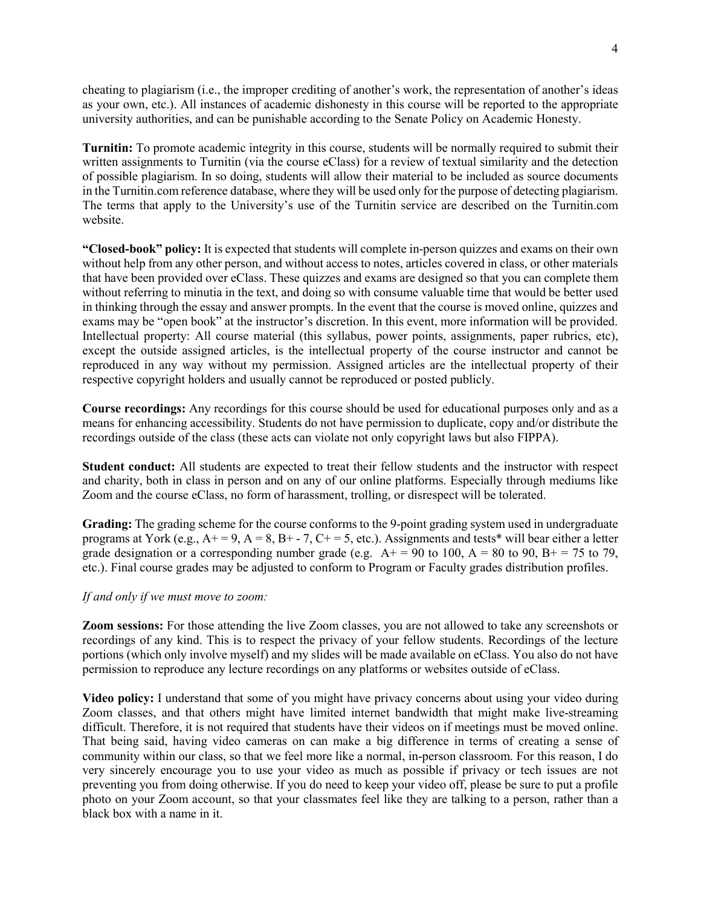cheating to plagiarism (i.e., the improper crediting of another's work, the representation of another's ideas as your own, etc.). All instances of academic dishonesty in this course will be reported to the appropriate university authorities, and can be punishable according to the Senate Policy on Academic Honesty.

**Turnitin:** To promote academic integrity in this course, students will be normally required to submit their written assignments to Turnitin (via the course eClass) for a review of textual similarity and the detection of possible plagiarism. In so doing, students will allow their material to be included as source documents in the Turnitin.com reference database, where they will be used only for the purpose of detecting plagiarism. The terms that apply to the University's use of the Turnitin service are described on the Turnitin.com website.

**"Closed-book" policy:** It is expected that students will complete in-person quizzes and exams on their own without help from any other person, and without access to notes, articles covered in class, or other materials that have been provided over eClass. These quizzes and exams are designed so that you can complete them without referring to minutia in the text, and doing so with consume valuable time that would be better used in thinking through the essay and answer prompts. In the event that the course is moved online, quizzes and exams may be "open book" at the instructor's discretion. In this event, more information will be provided. Intellectual property: All course material (this syllabus, power points, assignments, paper rubrics, etc), except the outside assigned articles, is the intellectual property of the course instructor and cannot be reproduced in any way without my permission. Assigned articles are the intellectual property of their respective copyright holders and usually cannot be reproduced or posted publicly.

**Course recordings:** Any recordings for this course should be used for educational purposes only and as a means for enhancing accessibility. Students do not have permission to duplicate, copy and/or distribute the recordings outside of the class (these acts can violate not only copyright laws but also FIPPA).

**Student conduct:** All students are expected to treat their fellow students and the instructor with respect and charity, both in class in person and on any of our online platforms. Especially through mediums like Zoom and the course eClass, no form of harassment, trolling, or disrespect will be tolerated.

**Grading:** The grading scheme for the course conforms to the 9-point grading system used in undergraduate programs at York (e.g.,  $A<sup>+</sup> = 9$ ,  $A = 8$ ,  $B<sup>+</sup> - 7$ ,  $C<sup>+</sup> = 5$ , etc.). Assignments and tests<sup>\*</sup> will bear either a letter grade designation or a corresponding number grade (e.g.  $A+ = 90$  to 100,  $A = 80$  to 90,  $B+ = 75$  to 79, etc.). Final course grades may be adjusted to conform to Program or Faculty grades distribution profiles.

#### *If and only if we must move to zoom:*

**Zoom sessions:** For those attending the live Zoom classes, you are not allowed to take any screenshots or recordings of any kind. This is to respect the privacy of your fellow students. Recordings of the lecture portions (which only involve myself) and my slides will be made available on eClass. You also do not have permission to reproduce any lecture recordings on any platforms or websites outside of eClass.

**Video policy:** I understand that some of you might have privacy concerns about using your video during Zoom classes, and that others might have limited internet bandwidth that might make live-streaming difficult. Therefore, it is not required that students have their videos on if meetings must be moved online. That being said, having video cameras on can make a big difference in terms of creating a sense of community within our class, so that we feel more like a normal, in-person classroom. For this reason, I do very sincerely encourage you to use your video as much as possible if privacy or tech issues are not preventing you from doing otherwise. If you do need to keep your video off, please be sure to put a profile photo on your Zoom account, so that your classmates feel like they are talking to a person, rather than a black box with a name in it.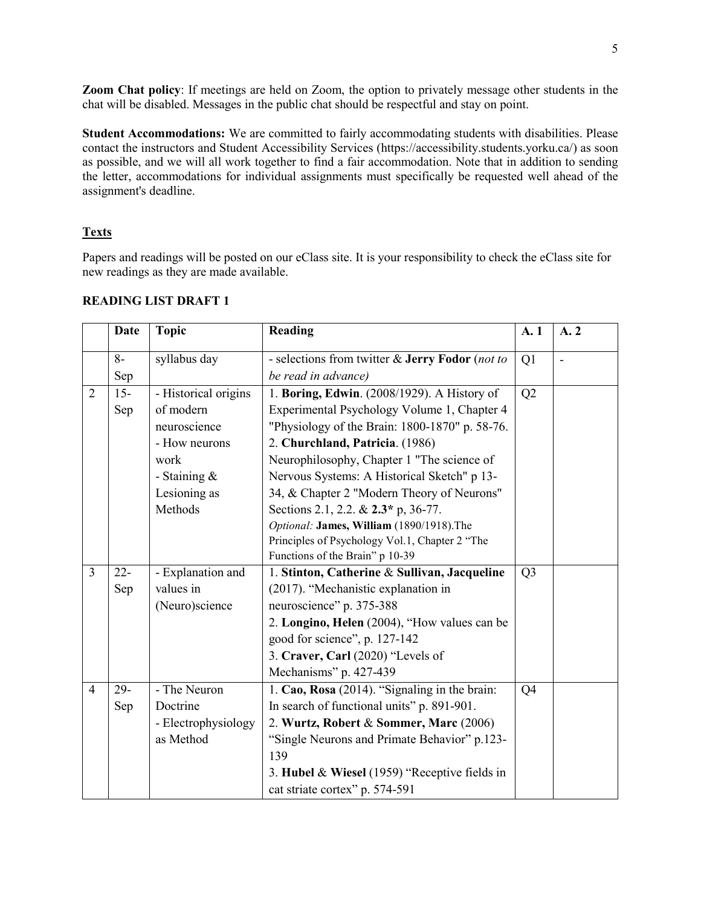**Zoom Chat policy**: If meetings are held on Zoom, the option to privately message other students in the chat will be disabled. Messages in the public chat should be respectful and stay on point.

**Student Accommodations:** We are committed to fairly accommodating students with disabilities. Please contact the instructors and Student Accessibility Services (https://accessibility.students.yorku.ca/) as soon as possible, and we will all work together to find a fair accommodation. Note that in addition to sending the letter, accommodations for individual assignments must specifically be requested well ahead of the assignment's deadline.

# **Texts**

Papers and readings will be posted on our eClass site. It is your responsibility to check the eClass site for new readings as they are made available.

|                | <b>Date</b> | <b>Topic</b>         | Reading                                         | A. 1           | A. 2 |
|----------------|-------------|----------------------|-------------------------------------------------|----------------|------|
|                | $8-$        | syllabus day         | - selections from twitter & Jerry Fodor (not to | Q1             |      |
|                | Sep         |                      | be read in advance)                             |                |      |
| $\overline{2}$ | $15 -$      | - Historical origins | 1. Boring, Edwin. (2008/1929). A History of     | Q2             |      |
|                | Sep         | of modern            | Experimental Psychology Volume 1, Chapter 4     |                |      |
|                |             | neuroscience         | "Physiology of the Brain: 1800-1870" p. 58-76.  |                |      |
|                |             | - How neurons        | 2. Churchland, Patricia. (1986)                 |                |      |
|                |             | work                 | Neurophilosophy, Chapter 1 "The science of      |                |      |
|                |             | - Staining &         | Nervous Systems: A Historical Sketch" p 13-     |                |      |
|                |             | Lesioning as         | 34, & Chapter 2 "Modern Theory of Neurons"      |                |      |
|                |             | Methods              | Sections 2.1, 2.2. & 2.3* p, 36-77.             |                |      |
|                |             |                      | Optional: James, William (1890/1918).The        |                |      |
|                |             |                      | Principles of Psychology Vol.1, Chapter 2 "The  |                |      |
|                |             |                      | Functions of the Brain" p 10-39                 |                |      |
| $\overline{3}$ | $22 -$      | - Explanation and    | 1. Stinton, Catherine & Sullivan, Jacqueline    | Q <sub>3</sub> |      |
|                | Sep         | values in            | (2017). "Mechanistic explanation in             |                |      |
|                |             | (Neuro)science       | neuroscience" p. 375-388                        |                |      |
|                |             |                      | 2. Longino, Helen (2004), "How values can be    |                |      |
|                |             |                      | good for science", p. 127-142                   |                |      |
|                |             |                      | 3. Craver, Carl (2020) "Levels of               |                |      |
|                |             |                      | Mechanisms" p. 427-439                          |                |      |
| $\overline{4}$ | 29-         | - The Neuron         | 1. Cao, Rosa (2014). "Signaling in the brain:   | Q <sub>4</sub> |      |
|                | Sep         | Doctrine             | In search of functional units" p. 891-901.      |                |      |
|                |             | - Electrophysiology  | 2. Wurtz, Robert & Sommer, Marc (2006)          |                |      |
|                |             | as Method            | "Single Neurons and Primate Behavior" p.123-    |                |      |
|                |             |                      | 139                                             |                |      |
|                |             |                      | 3. Hubel & Wiesel (1959) "Receptive fields in   |                |      |
|                |             |                      | cat striate cortex" p. 574-591                  |                |      |

#### **READING LIST DRAFT 1**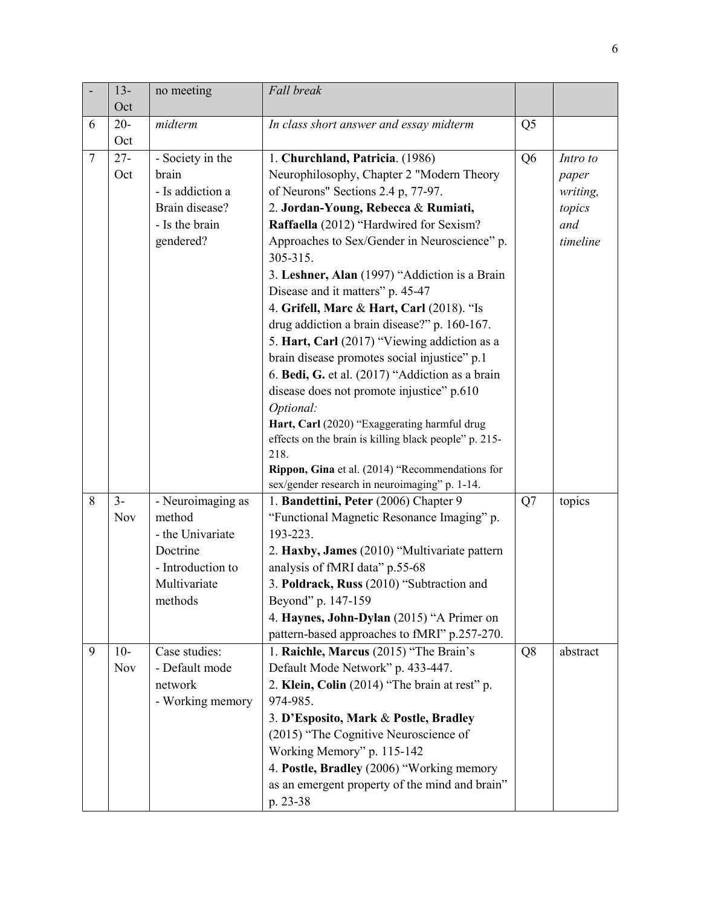|   | $13 -$     | no meeting        | Fall break                                               |                |          |
|---|------------|-------------------|----------------------------------------------------------|----------------|----------|
|   | Oct        |                   |                                                          |                |          |
| 6 | $20 -$     | midterm           | In class short answer and essay midterm                  | Q <sub>5</sub> |          |
|   | Oct        |                   |                                                          |                |          |
| 7 | $27 -$     | - Society in the  | 1. Churchland, Patricia. (1986)                          | Q <sub>6</sub> | Intro to |
|   | Oct        | brain             | Neurophilosophy, Chapter 2 "Modern Theory                |                | paper    |
|   |            | - Is addiction a  | of Neurons" Sections 2.4 p, 77-97.                       |                | writing, |
|   |            | Brain disease?    | 2. Jordan-Young, Rebecca & Rumiati,                      |                | topics   |
|   |            | - Is the brain    | Raffaella (2012) "Hardwired for Sexism?                  |                | and      |
|   |            | gendered?         | Approaches to Sex/Gender in Neuroscience" p.<br>305-315. |                | timeline |
|   |            |                   | 3. Leshner, Alan (1997) "Addiction is a Brain            |                |          |
|   |            |                   | Disease and it matters" p. 45-47                         |                |          |
|   |            |                   | 4. Grifell, Marc & Hart, Carl (2018). "Is                |                |          |
|   |            |                   | drug addiction a brain disease?" p. 160-167.             |                |          |
|   |            |                   | 5. Hart, Carl (2017) "Viewing addiction as a             |                |          |
|   |            |                   | brain disease promotes social injustice" p.1             |                |          |
|   |            |                   | 6. Bedi, G. et al. (2017) "Addiction as a brain          |                |          |
|   |            |                   | disease does not promote injustice" p.610                |                |          |
|   |            |                   | Optional:                                                |                |          |
|   |            |                   | Hart, Carl (2020) "Exaggerating harmful drug             |                |          |
|   |            |                   | effects on the brain is killing black people" p. 215-    |                |          |
|   |            |                   | 218.                                                     |                |          |
|   |            |                   | Rippon, Gina et al. (2014) "Recommendations for          |                |          |
|   |            |                   | sex/gender research in neuroimaging" p. 1-14.            |                |          |
| 8 | $3-$       | - Neuroimaging as | 1. Bandettini, Peter (2006) Chapter 9                    | Q7             | topics   |
|   | <b>Nov</b> | method            | "Functional Magnetic Resonance Imaging" p.               |                |          |
|   |            | - the Univariate  | 193-223.                                                 |                |          |
|   |            | Doctrine          | 2. Haxby, James (2010) "Multivariate pattern             |                |          |
|   |            | - Introduction to | analysis of fMRI data" p.55-68                           |                |          |
|   |            | Multivariate      | 3. Poldrack, Russ (2010) "Subtraction and                |                |          |
|   |            | methods           | Beyond" p. 147-159                                       |                |          |
|   |            |                   | 4. Haynes, John-Dylan (2015) "A Primer on                |                |          |
|   |            |                   | pattern-based approaches to fMRI" p.257-270.             |                |          |
| 9 | $10-$      | Case studies:     | 1. Raichle, Marcus (2015) "The Brain's                   | Q8             | abstract |
|   | Nov        | - Default mode    | Default Mode Network" p. 433-447.                        |                |          |
|   |            | network           | 2. Klein, Colin (2014) "The brain at rest" p.            |                |          |
|   |            | - Working memory  | 974-985.                                                 |                |          |
|   |            |                   | 3. D'Esposito, Mark & Postle, Bradley                    |                |          |
|   |            |                   | (2015) "The Cognitive Neuroscience of                    |                |          |
|   |            |                   | Working Memory" p. 115-142                               |                |          |
|   |            |                   | 4. Postle, Bradley (2006) "Working memory                |                |          |
|   |            |                   | as an emergent property of the mind and brain"           |                |          |
|   |            |                   | p. 23-38                                                 |                |          |